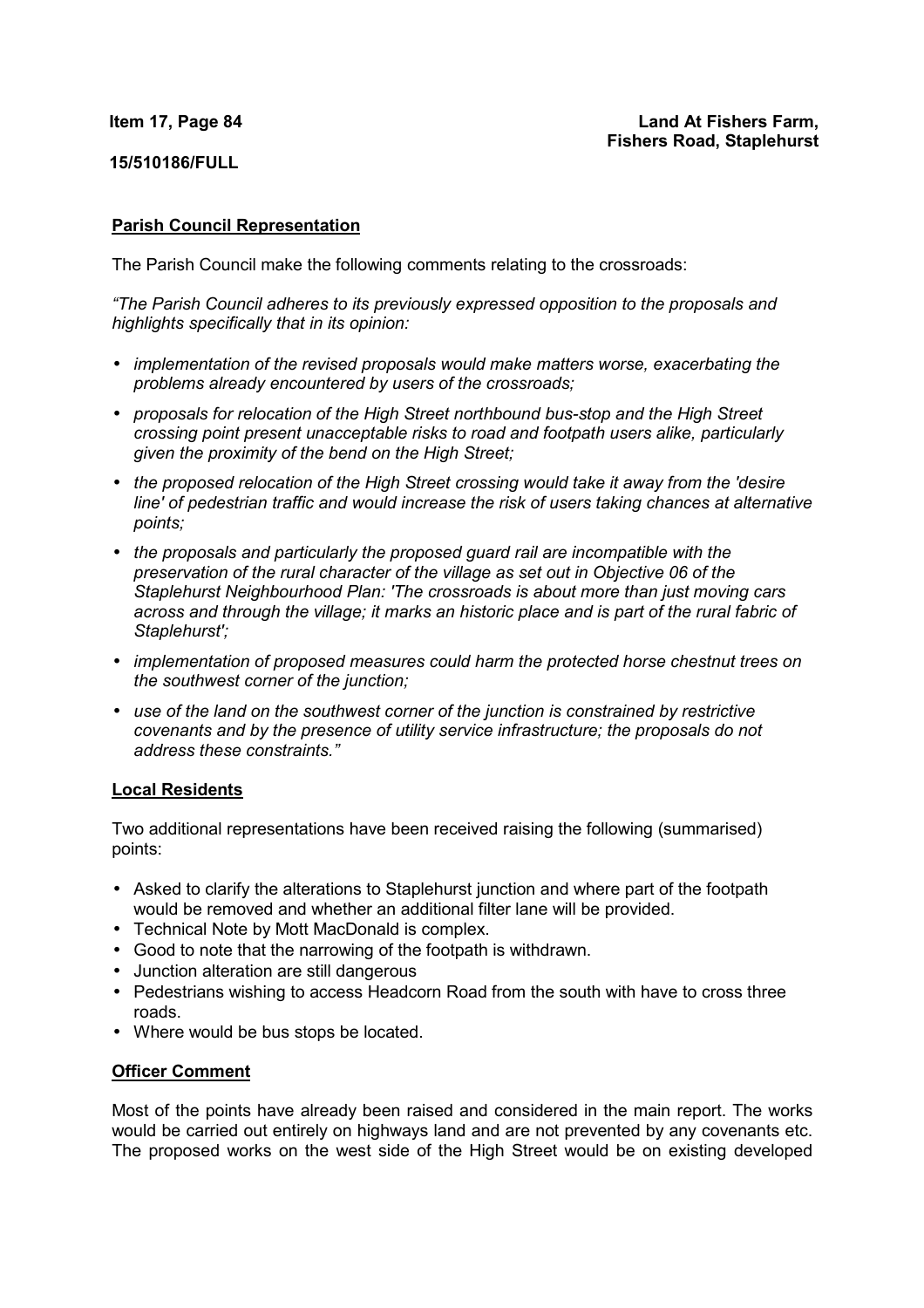## **Item 17, Page 84**

**15/510186/FULL**

# **Parish Council Representation**

The Parish Council make the following comments relating to the crossroads:

*"The Parish Council adheres to its previously expressed opposition to the proposals and highlights specifically that in its opinion:* 

- *implementation of the revised proposals would make matters worse, exacerbating the problems already encountered by users of the crossroads;*
- *proposals for relocation of the High Street northbound bus-stop and the High Street crossing point present unacceptable risks to road and footpath users alike, particularly given the proximity of the bend on the High Street;*
- *the proposed relocation of the High Street crossing would take it away from the 'desire line' of pedestrian traffic and would increase the risk of users taking chances at alternative points;*
- *the proposals and particularly the proposed guard rail are incompatible with the preservation of the rural character of the village as set out in Objective 06 of the Staplehurst Neighbourhood Plan: 'The crossroads is about more than just moving cars across and through the village; it marks an historic place and is part of the rural fabric of Staplehurst';*
- *implementation of proposed measures could harm the protected horse chestnut trees on the southwest corner of the junction;*
- *use of the land on the southwest corner of the junction is constrained by restrictive covenants and by the presence of utility service infrastructure; the proposals do not address these constraints."*

## **Local Residents**

Two additional representations have been received raising the following (summarised) points:

- Asked to clarify the alterations to Staplehurst junction and where part of the footpath would be removed and whether an additional filter lane will be provided.
- Technical Note by Mott MacDonald is complex.
- Good to note that the narrowing of the footpath is withdrawn.
- Junction alteration are still dangerous
- Pedestrians wishing to access Headcorn Road from the south with have to cross three roads.
- Where would be bus stops be located.

## **Officer Comment**

Most of the points have already been raised and considered in the main report. The works would be carried out entirely on highways land and are not prevented by any covenants etc. The proposed works on the west side of the High Street would be on existing developed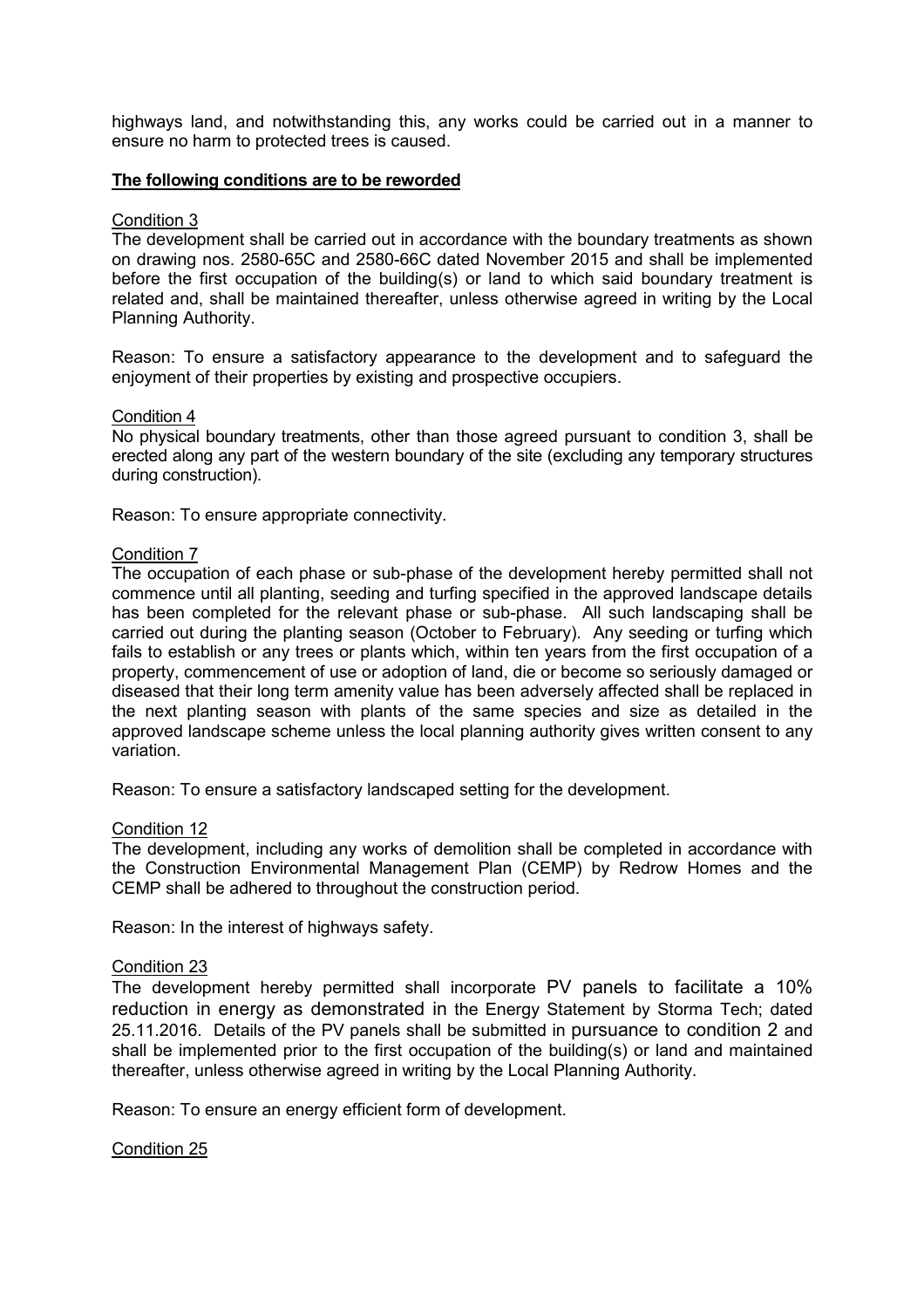highways land, and notwithstanding this, any works could be carried out in a manner to ensure no harm to protected trees is caused.

#### **The following conditions are to be reworded**

## Condition 3

The development shall be carried out in accordance with the boundary treatments as shown on drawing nos. 2580-65C and 2580-66C dated November 2015 and shall be implemented before the first occupation of the building(s) or land to which said boundary treatment is related and, shall be maintained thereafter, unless otherwise agreed in writing by the Local Planning Authority.

Reason: To ensure a satisfactory appearance to the development and to safeguard the enjoyment of their properties by existing and prospective occupiers.

#### Condition 4

No physical boundary treatments, other than those agreed pursuant to condition 3, shall be erected along any part of the western boundary of the site (excluding any temporary structures during construction).

Reason: To ensure appropriate connectivity.

#### Condition 7

The occupation of each phase or sub-phase of the development hereby permitted shall not commence until all planting, seeding and turfing specified in the approved landscape details has been completed for the relevant phase or sub-phase. All such landscaping shall be carried out during the planting season (October to February). Any seeding or turfing which fails to establish or any trees or plants which, within ten years from the first occupation of a property, commencement of use or adoption of land, die or become so seriously damaged or diseased that their long term amenity value has been adversely affected shall be replaced in the next planting season with plants of the same species and size as detailed in the approved landscape scheme unless the local planning authority gives written consent to any variation.

Reason: To ensure a satisfactory landscaped setting for the development.

# Condition 12

The development, including any works of demolition shall be completed in accordance with the Construction Environmental Management Plan (CEMP) by Redrow Homes and the CEMP shall be adhered to throughout the construction period.

Reason: In the interest of highways safety.

## Condition 23

The development hereby permitted shall incorporate PV panels to facilitate a 10% reduction in energy as demonstrated in the Energy Statement by Storma Tech; dated 25.11.2016. Details of the PV panels shall be submitted in pursuance to condition 2 and shall be implemented prior to the first occupation of the building(s) or land and maintained thereafter, unless otherwise agreed in writing by the Local Planning Authority.

Reason: To ensure an energy efficient form of development.

### Condition 25